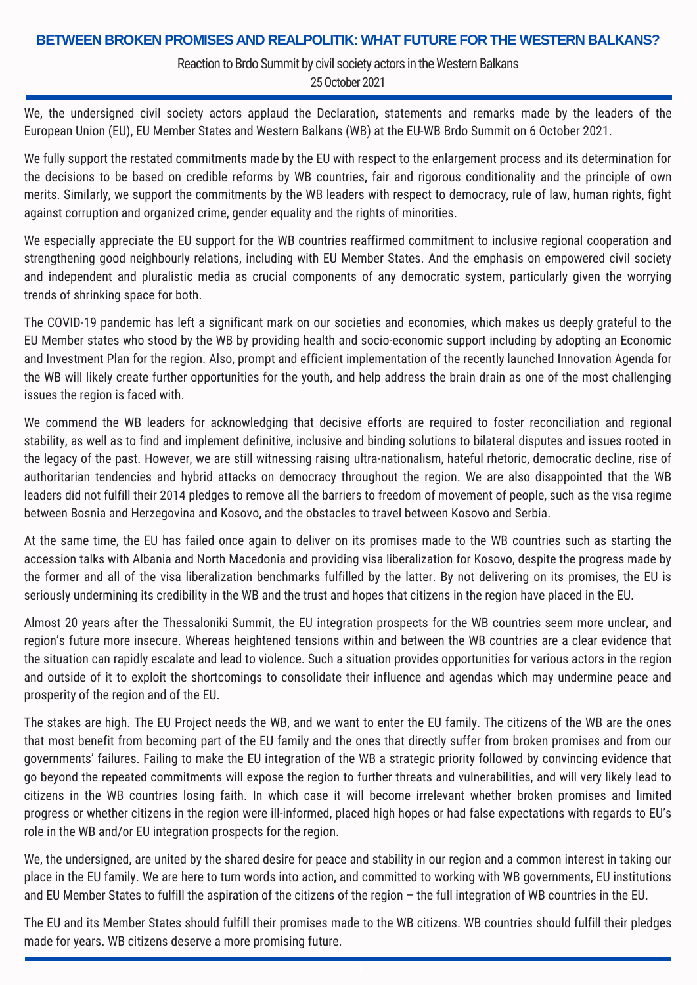## **BETWEEN BROKEN PROMISES AND REALPOLITIK: WHAT FUTURE FOR THE WESTERN BALKANS?**

Reaction to Brdo Summit by civil society actors in the Western Balkans

25October 2021

We, the undersigned civil society actors applaud the Declaration, statements and remarks made by the leaders of the European Union (EU), EU Member States and Western Balkans (WB) at the EU-WB Brdo Summit on 6 October 2021.

We fully support the restated commitments made by the EU with respect to the enlargement process and its determination for the decisions to be based on credible reforms by WB countries, fair and rigorous conditionality and the principle of own merits. Similarly, we support the commitments by the WB leaders with respect to democracy, rule of law, human rights, fight against corruption and organized crime, gender equality and the rights of minorities.

We especially appreciate the EU support for the WB countries reaffirmed commitment to inclusive regional cooperation and strengthening good neighbourly relations, including with EU Member States. And the emphasis on empowered civil society and independent and pluralistic media as crucial components of any democratic system, particularly given the worrying trends of shrinking space for both.

The COVID-19 pandemic has left a significant mark on our societies and economies, which makes us deeply grateful to the EU Member states who stood by the WB by providing health and socio-economic support including by adopting an Economic and Investment Plan for the region. Also, prompt and efficient implementation of the recently launched Innovation Agenda for the WB will likely create further opportunities for the youth, and help address the brain drain as one of the most challenging issues the region is faced with.

We commend the WB leaders for acknowledging that decisive efforts are required to foster reconciliation and regional stability, as well as to find and implement definitive, inclusive and binding solutions to bilateral disputes and issues rooted in the legacy of the past. However, we are still witnessing raising ultra-nationalism, hateful rhetoric, democratic decline, rise of authoritarian tendencies and hybrid attacks on democracy throughout the region. We are also disappointed that the WB leaders did not fulfill their 2014 pledges to remove all the barriers to freedom of movement of people, such as the visa regime between Bosnia and Herzegovina and Kosovo, and the obstacles to travel between Kosovo and Serbia.

At the same time, the EU has failed once again to deliver on its promises made to the WB countries such as starting the accession talks with Albania and North Macedonia and providing visa liberalization for Kosovo, despite the progress made by the former and all of the visa liberalization benchmarks fulfilled by the latter. By not delivering on its promises, the EU is seriously undermining its credibility in the WB and the trust and hopes that citizens in the region have placed in the EU.

Almost 20 years after the Thessaloniki Summit, the EU integration prospects for the WB countries seem more unclear, and region's future more insecure. Whereas heightened tensions within and between the WB countries are a clear evidence that the situation can rapidly escalate and lead to violence. Such a situation provides opportunities for various actors in the region and outside of it to exploit the shortcomings to consolidate their influence and agendas which may undermine peace and prosperity of the region and of the EU.

The stakes are high. The EU Project needs the WB, and we want to enter the EU family. The citizens of the WB are the ones that most benefit from becoming part of the EU family and the ones that directly suffer from broken promises and from our governments' failures. Failing to make the EU integration of the WB a strategic priority followed by convincing evidence that go beyond the repeated commitments will expose the region to further threats and vulnerabilities, and will very likely lead to citizens in the WB countries losing faith. In which case it will become irrelevant whether broken promises and limited progress or whether citizens in the region were ill-informed, placed high hopes or had false expectations with regards to EU's role in the WB and/or EU integration prospects for the region.

We, the undersigned, are united by the shared desire for peace and stability in our region and a common interest in taking our place in the EU family. We are here to turn words into action, and committed to working with WB governments, EU institutions and EU Member States to fulfill the aspiration of the citizens of the region – the full integration of WB countries in the EU.

The EU and its Member States should fulfill their promises made to the WB citizens. WB countries should fulfill their pledges made for years. WB citizens deserve a more promising future.

1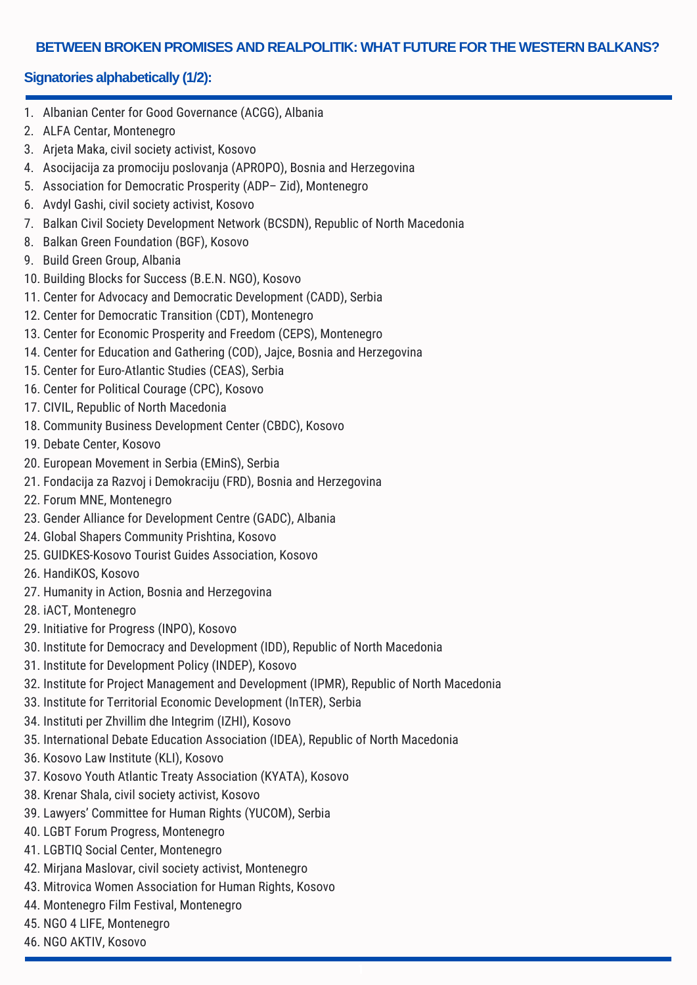### **BETWEEN BROKEN PROMISES AND REALPOLITIK: WHAT FUTURE FOR THE WESTERN BALKANS?**

# **Signatories alphabetically (1/2):**

- 1. Albanian Center for Good Governance (ACGG), Albania
- 2. ALFA Centar, Montenegro
- 3. Arjeta Maka, civil society activist, Kosovo
- 4. Asocijacija za promociju poslovanja (APROPO), Bosnia and Herzegovina
- 5. Association for Democratic Prosperity (ADP– Zid), Montenegro
- 6. Avdyl Gashi, civil society activist, Kosovo
- 7. Balkan Civil Society Development Network (BCSDN), Republic of North Macedonia
- 8. Balkan Green Foundation (BGF), Kosovo
- 9. Build Green Group, Albania
- 10. Building Blocks for Success (B.E.N. NGO), Kosovo
- 11. Center for Advocacy and Democratic Development (CADD), Serbia
- 12. Center for Democratic Transition (CDT), Montenegro
- 13. Center for Economic Prosperity and Freedom (CEPS), Montenegro
- 14. Center for Education and Gathering (COD), Jajce, Bosnia and Herzegovina
- 15. Center for Euro-Atlantic Studies (CEAS), Serbia
- 16. Center for Political Courage (CPC), Kosovo
- 17. CIVIL, Republic of North Macedonia
- 18. Community Business Development Center (CBDC), Kosovo
- 19. Debate Center, Kosovo
- 20. European Movement in Serbia (EMinS), Serbia
- 21. Fondacija za Razvoj i Demokraciju (FRD), Bosnia and Herzegovina
- 22. Forum MNE, Montenegro
- 23. Gender Alliance for Development Centre (GADC), Albania
- 24. Global Shapers Community Prishtina, Kosovo
- 25. GUIDKES-Kosovo Tourist Guides Association, Kosovo
- 26. HandiKOS, Kosovo
- 27. Humanity in Action, Bosnia and Herzegovina
- 28. iACT, Montenegro
- 29. Initiative for Progress (INPO), Kosovo
- 30. Institute for Democracy and Development (IDD), Republic of North Macedonia
- 31. Institute for Development Policy (INDEP), Kosovo
- 32. Institute for Project Management and Development (IPMR), Republic of North Macedonia

1

- 33. Institute for Territorial Economic Development (InTER), Serbia
- 34. Instituti per Zhvillim dhe Integrim (IZHI), Kosovo
- 35. International Debate Education Association (IDEA), Republic of North Macedonia
- 36. Kosovo Law Institute (KLI), Kosovo
- 37. Kosovo Youth Atlantic Treaty Association (KYATA), Kosovo
- 38. Krenar Shala, civil society activist, Kosovo
- 39. Lawyers' [Committee](http://en.yucom.org.rs/) for Human Rights (YUCOM), Serbia
- 40. LGBT Forum Progress, Montenegro
- 41. LGBTIQ Social Center, Montenegro
- 42. Mirjana Maslovar, civil society activist, Montenegro
- 43. Mitrovica Women Association for Human Rights, Kosovo
- 44. Montenegro Film Festival, Montenegro
- 45. NGO 4 LIFE, Montenegro
- 46. NGO AKTIV, Kosovo